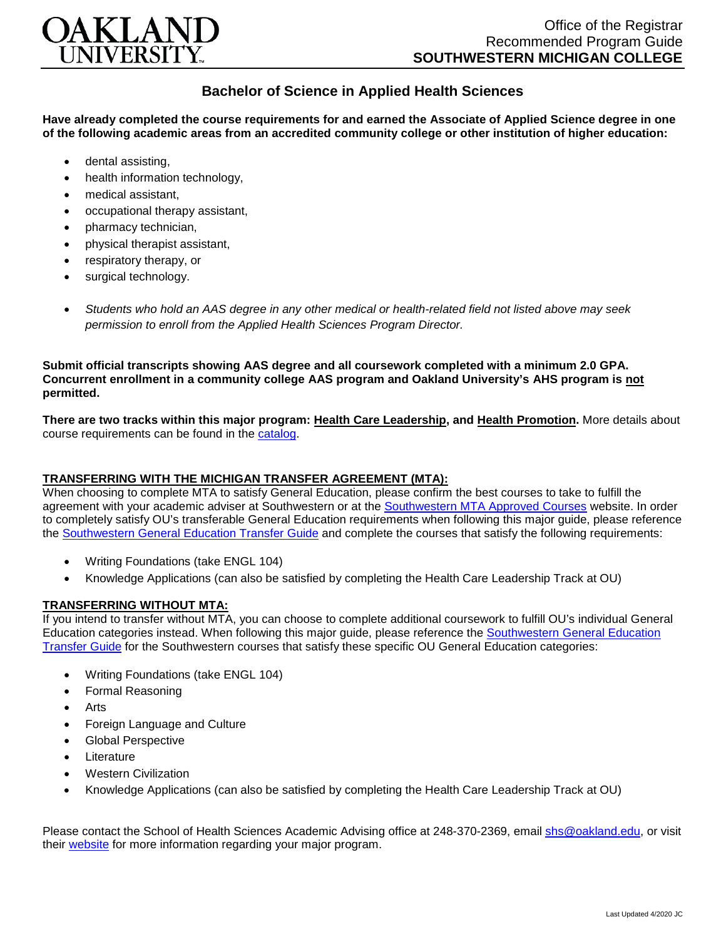

## **Bachelor of Science in Applied Health Sciences**

**Have already completed the course requirements for and earned the Associate of Applied Science degree in one of the following academic areas from an accredited community college or other institution of higher education:**

- dental assisting,
- health information technology.
- medical assistant,
- occupational therapy assistant,
- pharmacy technician,
- physical therapist assistant,
- respiratory therapy, or
- surgical technology.
- *Students who hold an AAS degree in any other medical or health-related field not listed above may seek permission to enroll from the Applied Health Sciences Program Director.*

**Submit official transcripts showing AAS degree and all coursework completed with a minimum 2.0 GPA. Concurrent enrollment in a community college AAS program and Oakland University's AHS program is not permitted.**

**There are two tracks within this major program: Health Care Leadership, and Health Promotion.** More details about course requirements can be found in the [catalog.](http://catalog.oakland.edu/preview_program.php?catoid=44&poid=6779)

## **TRANSFERRING WITH THE MICHIGAN TRANSFER AGREEMENT (MTA):**

When choosing to complete MTA to satisfy General Education, please confirm the best courses to take to fulfill the agreement with your academic adviser at Southwestern or at the [Southwestern MTA Approved Courses](https://www.swmich.edu/sites/swmich.edu/files/academics/curriculum-guides/Michigan-Transfer-Agreement-ADA.pdf) website. In order to completely satisfy OU's transferable General Education requirements when following this major guide, please reference the [Southwestern General Education Transfer Guide](https://www.oakland.edu/Assets/Oakland/program-guides/southwestern-michigan-college/university-general-education-requirements/Southwestern%20Gen%20Ed.pdf) and complete the courses that satisfy the following requirements:

- Writing Foundations (take ENGL 104)
- Knowledge Applications (can also be satisfied by completing the Health Care Leadership Track at OU)

## **TRANSFERRING WITHOUT MTA:**

If you intend to transfer without MTA, you can choose to complete additional coursework to fulfill OU's individual General Education categories instead. When following this major guide, please reference the [Southwestern General Education](https://www.oakland.edu/Assets/Oakland/program-guides/southwestern-michigan-college/university-general-education-requirements/Southwestern%20Gen%20Ed.pdf)  [Transfer Guide](https://www.oakland.edu/Assets/Oakland/program-guides/southwestern-michigan-college/university-general-education-requirements/Southwestern%20Gen%20Ed.pdf) for the Southwestern courses that satisfy these specific OU General Education categories:

- Writing Foundations (take ENGL 104)
- Formal Reasoning
- Arts
- Foreign Language and Culture
- Global Perspective
- **Literature**
- Western Civilization
- Knowledge Applications (can also be satisfied by completing the Health Care Leadership Track at OU)

Please contact the School of Health Sciences Academic Advising office at 248-370-2369, email [shs@oakland.edu,](mailto:shs@oakland.edu) or visit their [website](http://www.oakland.edu/shs/advising) for more information regarding your major program.